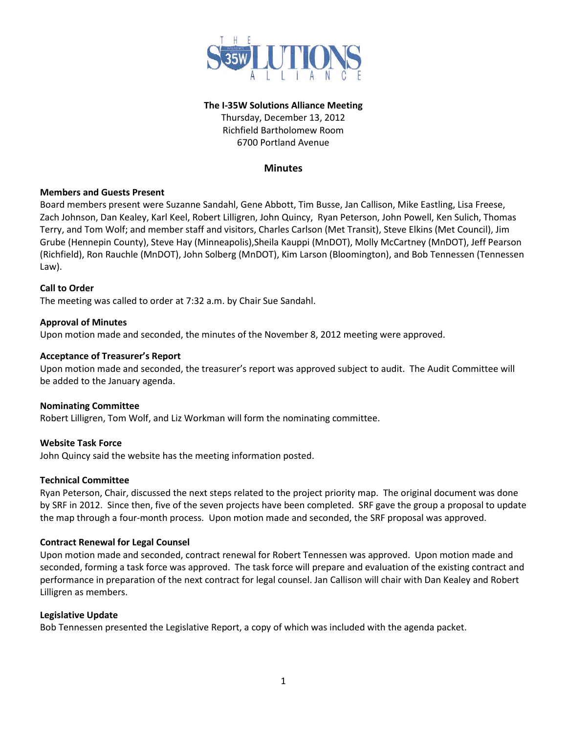

### **The I-35W Solutions Alliance Meeting**

Thursday, December 13, 2012 Richfield Bartholomew Room 6700 Portland Avenue

# **Minutes**

# **Members and Guests Present**

Board members present were Suzanne Sandahl, Gene Abbott, Tim Busse, Jan Callison, Mike Eastling, Lisa Freese, Zach Johnson, Dan Kealey, Karl Keel, Robert Lilligren, John Quincy, Ryan Peterson, John Powell, Ken Sulich, Thomas Terry, and Tom Wolf; and member staff and visitors, Charles Carlson (Met Transit), Steve Elkins (Met Council), Jim Grube (Hennepin County), Steve Hay (Minneapolis),Sheila Kauppi (MnDOT), Molly McCartney (MnDOT), Jeff Pearson (Richfield), Ron Rauchle (MnDOT), John Solberg (MnDOT), Kim Larson (Bloomington), and Bob Tennessen (Tennessen Law).

### **Call to Order**

The meeting was called to order at 7:32 a.m. by Chair Sue Sandahl.

### **Approval of Minutes**

Upon motion made and seconded, the minutes of the November 8, 2012 meeting were approved.

### **Acceptance of Treasurer's Report**

Upon motion made and seconded, the treasurer's report was approved subject to audit. The Audit Committee will be added to the January agenda.

#### **Nominating Committee**

Robert Lilligren, Tom Wolf, and Liz Workman will form the nominating committee.

# **Website Task Force**

John Quincy said the website has the meeting information posted.

#### **Technical Committee**

Ryan Peterson, Chair, discussed the next steps related to the project priority map. The original document was done by SRF in 2012. Since then, five of the seven projects have been completed. SRF gave the group a proposal to update the map through a four-month process. Upon motion made and seconded, the SRF proposal was approved.

#### **Contract Renewal for Legal Counsel**

Upon motion made and seconded, contract renewal for Robert Tennessen was approved. Upon motion made and seconded, forming a task force was approved. The task force will prepare and evaluation of the existing contract and performance in preparation of the next contract for legal counsel. Jan Callison will chair with Dan Kealey and Robert Lilligren as members.

#### **Legislative Update**

Bob Tennessen presented the Legislative Report, a copy of which was included with the agenda packet.